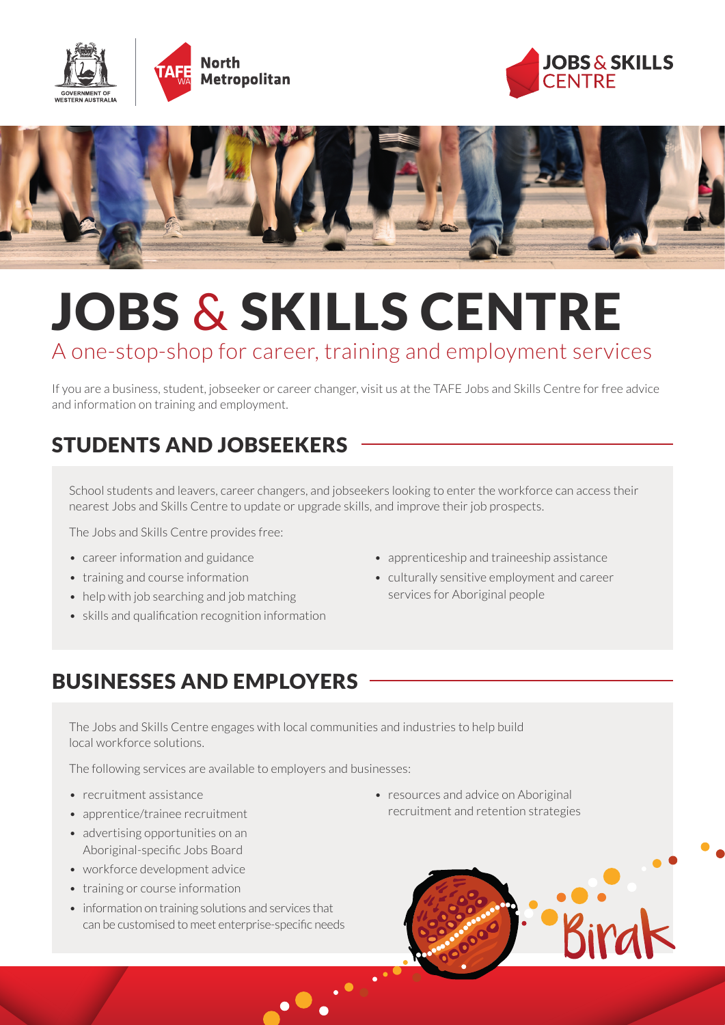





# JOBS & SKILLS CENTRE

### A one-stop-shop for career, training and employment services

If you are a business, student, jobseeker or career changer, visit us at the TAFE Jobs and Skills Centre for free advice and information on training and employment.

## STUDENTS AND JOBSEEKERS

School students and leavers, career changers, and jobseekers looking to enter the workforce can access their nearest Jobs and Skills Centre to update or upgrade skills, and improve their job prospects.

The Jobs and Skills Centre provides free:

- career information and guidance
- training and course information
- help with job searching and job matching
- skills and qualification recognition information
- apprenticeship and traineeship assistance
- culturally sensitive employment and career services for Aboriginal people

#### BUSINESSES AND EMPLOYERS

The Jobs and Skills Centre engages with local communities and industries to help build local workforce solutions.

The following services are available to employers and businesses:

- recruitment assistance
- apprentice/trainee recruitment
- advertising opportunities on an Aboriginal-specific Jobs Board
- workforce development advice
- training or course information
- information on training solutions and services that can be customised to meet enterprise-specific needs
- resources and advice on Aboriginal recruitment and retention strategies